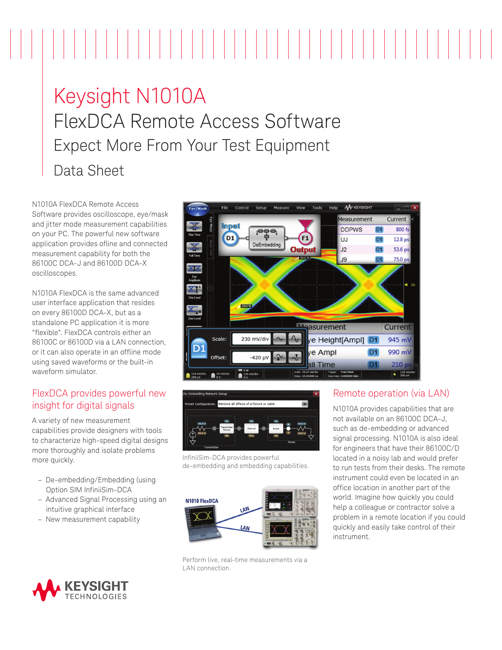# 

# Keysight N1010A FlexDCA Remote Access Software Expect More From Your Test Equipment Data Sheet

N1010A FlexDCA Remote Access Software provides oscilloscope, eye/mask and jitter mode measurement capabilities on your PC. The powerful new software application provides ofline and connected measurement capability for both the 86100C DCA-J and 86100D DCA-X oscilloscopes.

N1010A FlexDCA is the same advanced user interface application that resides on every 86100D DCA-X, but as a standalone PC application it is more "flexible". FlexDCA controls either an 86100C or 86100D via a LAN connection, or it can also operate in an offline mode using saved waveforms or the built-in waveform simulator.

#### FlexDCA provides powerful new insight for digital signals

A variety of new measurement capabilities provide designers with tools to characterize high-speed digital designs more thoroughly and isolate problems more quickly.

- De-embedding/Embedding (using Option SIM InfiniiSim-DCA
- Advanced Signal Processing using an intuitive graphical interface
- New measurement capability



Perform live, real-time measurements via a LAN connection.





InfiniiSim-DCA provides powerful de-embedding and embedding capabilities.

# Remote operation (via LAN)

N1010A provides capabilities that are not available on an 86100C DCA-J, such as de-embedding or advanced signal processing. N1010A is also ideal for engineers that have their 86100C/D located in a noisy lab and would prefer to run tests from their desks. The remote instrument could even be located in an office location in another part of the world. Imagine how quickly you could help a colleague or contractor solve a problem in a remote location if you could quickly and easily take control of their instrument.